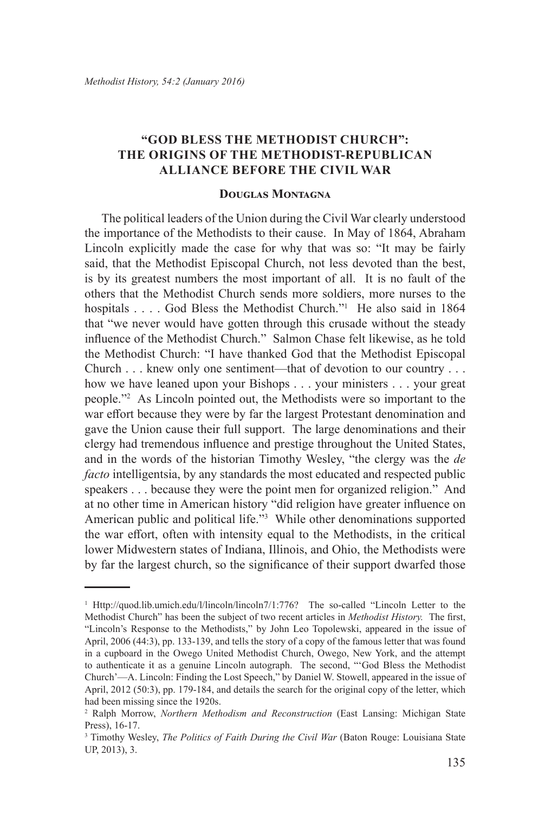## **"GOD BLESS THE METHODIST CHURCH": THE ORIGINS OF THE METHODIST-REPUBLICAN ALLIANCE BEFORE THE CIVIL WAR**

## **Douglas Montagna**

The political leaders of the Union during the Civil War clearly understood the importance of the Methodists to their cause. In May of 1864, Abraham Lincoln explicitly made the case for why that was so: "It may be fairly said, that the Methodist Episcopal Church, not less devoted than the best, is by its greatest numbers the most important of all. It is no fault of the others that the Methodist Church sends more soldiers, more nurses to the hospitals . . . . God Bless the Methodist Church."<sup>1</sup> He also said in 1864 that "we never would have gotten through this crusade without the steady influence of the Methodist Church." Salmon Chase felt likewise, as he told the Methodist Church: "I have thanked God that the Methodist Episcopal Church . . . knew only one sentiment—that of devotion to our country . . . how we have leaned upon your Bishops . . . your ministers . . . your great people."2 As Lincoln pointed out, the Methodists were so important to the war effort because they were by far the largest Protestant denomination and gave the Union cause their full support. The large denominations and their clergy had tremendous influence and prestige throughout the United States, and in the words of the historian Timothy Wesley, "the clergy was the *de facto* intelligentsia, by any standards the most educated and respected public speakers . . . because they were the point men for organized religion." And at no other time in American history "did religion have greater influence on American public and political life."<sup>3</sup> While other denominations supported the war effort, often with intensity equal to the Methodists, in the critical lower Midwestern states of Indiana, Illinois, and Ohio, the Methodists were by far the largest church, so the significance of their support dwarfed those

<sup>&</sup>lt;sup>1</sup> Http://quod.lib.umich.edu/l/lincoln/lincoln7/1:776? The so-called "Lincoln Letter to the Methodist Church" has been the subject of two recent articles in *Methodist History.* The first, "Lincoln's Response to the Methodists," by John Leo Topolewski, appeared in the issue of April, 2006 (44:3), pp. 133-139, and tells the story of a copy of the famous letter that was found in a cupboard in the Owego United Methodist Church, Owego, New York, and the attempt to authenticate it as a genuine Lincoln autograph. The second, "'God Bless the Methodist Church'—A. Lincoln: Finding the Lost Speech," by Daniel W. Stowell, appeared in the issue of April, 2012 (50:3), pp. 179-184, and details the search for the original copy of the letter, which had been missing since the 1920s.

<sup>&</sup>lt;sup>2</sup> Ralph Morrow, *Northern Methodism and Reconstruction* (East Lansing: Michigan State Press), 16-17.

<sup>&</sup>lt;sup>3</sup> Timothy Wesley, *The Politics of Faith During the Civil War* (Baton Rouge: Louisiana State UP, 2013), 3.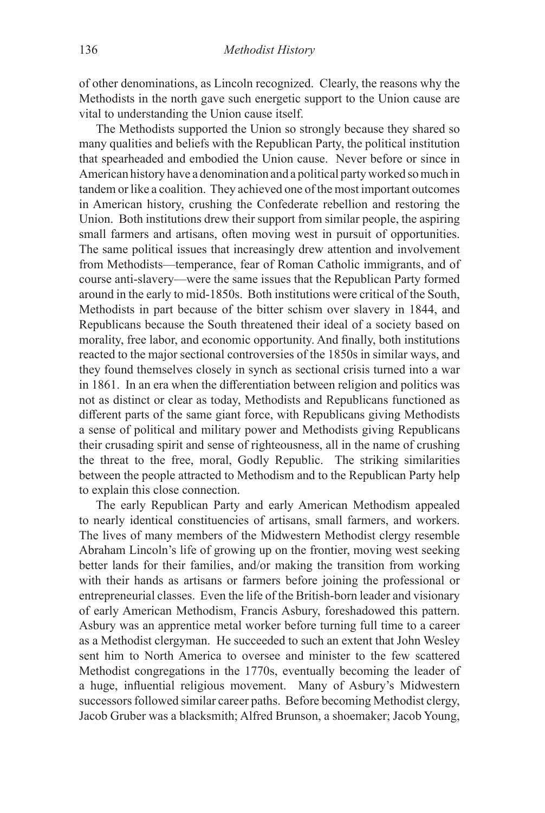of other denominations, as Lincoln recognized. Clearly, the reasons why the Methodists in the north gave such energetic support to the Union cause are vital to understanding the Union cause itself.

The Methodists supported the Union so strongly because they shared so many qualities and beliefs with the Republican Party, the political institution that spearheaded and embodied the Union cause. Never before or since in American history have a denomination and a political party worked so much in tandem or like a coalition. They achieved one of the most important outcomes in American history, crushing the Confederate rebellion and restoring the Union. Both institutions drew their support from similar people, the aspiring small farmers and artisans, often moving west in pursuit of opportunities. The same political issues that increasingly drew attention and involvement from Methodists—temperance, fear of Roman Catholic immigrants, and of course anti-slavery—were the same issues that the Republican Party formed around in the early to mid-1850s. Both institutions were critical of the South, Methodists in part because of the bitter schism over slavery in 1844, and Republicans because the South threatened their ideal of a society based on morality, free labor, and economic opportunity. And finally, both institutions reacted to the major sectional controversies of the 1850s in similar ways, and they found themselves closely in synch as sectional crisis turned into a war in 1861. In an era when the differentiation between religion and politics was not as distinct or clear as today, Methodists and Republicans functioned as different parts of the same giant force, with Republicans giving Methodists a sense of political and military power and Methodists giving Republicans their crusading spirit and sense of righteousness, all in the name of crushing the threat to the free, moral, Godly Republic. The striking similarities between the people attracted to Methodism and to the Republican Party help to explain this close connection.

The early Republican Party and early American Methodism appealed to nearly identical constituencies of artisans, small farmers, and workers. The lives of many members of the Midwestern Methodist clergy resemble Abraham Lincoln's life of growing up on the frontier, moving west seeking better lands for their families, and/or making the transition from working with their hands as artisans or farmers before joining the professional or entrepreneurial classes. Even the life of the British-born leader and visionary of early American Methodism, Francis Asbury, foreshadowed this pattern. Asbury was an apprentice metal worker before turning full time to a career as a Methodist clergyman. He succeeded to such an extent that John Wesley sent him to North America to oversee and minister to the few scattered Methodist congregations in the 1770s, eventually becoming the leader of a huge, influential religious movement. Many of Asbury's Midwestern successors followed similar career paths. Before becoming Methodist clergy, Jacob Gruber was a blacksmith; Alfred Brunson, a shoemaker; Jacob Young,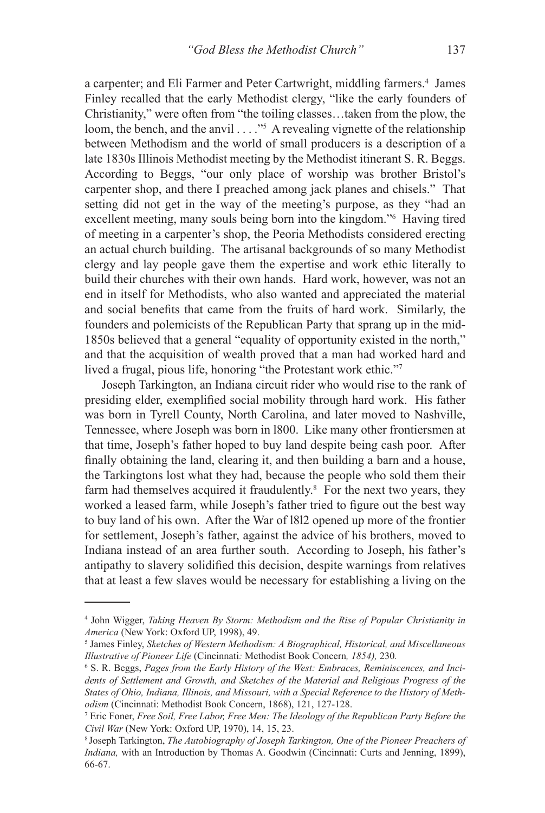a carpenter; and Eli Farmer and Peter Cartwright, middling farmers.<sup>4</sup> James Finley recalled that the early Methodist clergy, "like the early founders of Christianity," were often from "the toiling classes…taken from the plow, the loom, the bench, and the anvil . . . ."<sup>5</sup> A revealing vignette of the relationship between Methodism and the world of small producers is a description of a late 1830s Illinois Methodist meeting by the Methodist itinerant S. R. Beggs. According to Beggs, "our only place of worship was brother Bristol's carpenter shop, and there I preached among jack planes and chisels." That setting did not get in the way of the meeting's purpose, as they "had an excellent meeting, many souls being born into the kingdom."6 Having tired of meeting in a carpenter's shop, the Peoria Methodists considered erecting an actual church building. The artisanal backgrounds of so many Methodist clergy and lay people gave them the expertise and work ethic literally to build their churches with their own hands. Hard work, however, was not an end in itself for Methodists, who also wanted and appreciated the material and social benefits that came from the fruits of hard work. Similarly, the founders and polemicists of the Republican Party that sprang up in the mid-1850s believed that a general "equality of opportunity existed in the north," and that the acquisition of wealth proved that a man had worked hard and lived a frugal, pious life, honoring "the Protestant work ethic."<sup>7</sup>

Joseph Tarkington, an Indiana circuit rider who would rise to the rank of presiding elder, exemplified social mobility through hard work. His father was born in Tyrell County, North Carolina, and later moved to Nashville, Tennessee, where Joseph was born in l800. Like many other frontiersmen at that time, Joseph's father hoped to buy land despite being cash poor. After finally obtaining the land, clearing it, and then building a barn and a house, the Tarkingtons lost what they had, because the people who sold them their farm had themselves acquired it fraudulently.<sup>8</sup> For the next two years, they worked a leased farm, while Joseph's father tried to figure out the best way to buy land of his own. After the War of l8l2 opened up more of the frontier for settlement, Joseph's father, against the advice of his brothers, moved to Indiana instead of an area further south. According to Joseph, his father's antipathy to slavery solidified this decision, despite warnings from relatives that at least a few slaves would be necessary for establishing a living on the

<sup>4</sup> John Wigger, *Taking Heaven By Storm: Methodism and the Rise of Popular Christianity in America* (New York: Oxford UP, 1998), 49.

<sup>5</sup> James Finley, *Sketches of Western Methodism: A Biographical, Historical, and Miscellaneous Illustrative of Pioneer Life* (Cincinnati*:* Methodist Book Concern*, 1854),* 230*.*

<sup>&</sup>lt;sup>6</sup> S. R. Beggs, Pages from the Early History of the West: Embraces, Reminiscences, and Inci*dents of Settlement and Growth, and Sketches of the Material and Religious Progress of the States of Ohio, Indiana, Illinois, and Missouri, with a Special Reference to the History of Methodism* (Cincinnati: Methodist Book Concern, 1868), 121, 127-128.

<sup>7</sup> Eric Foner, *Free Soil, Free Labor, Free Men: The Ideology of the Republican Party Before the Civil War* (New York: Oxford UP, 1970), 14, 15, 23.

<sup>8</sup>Joseph Tarkington, *The Autobiography of Joseph Tarkington, One of the Pioneer Preachers of Indiana,* with an Introduction by Thomas A. Goodwin (Cincinnati: Curts and Jenning, 1899), 66-67.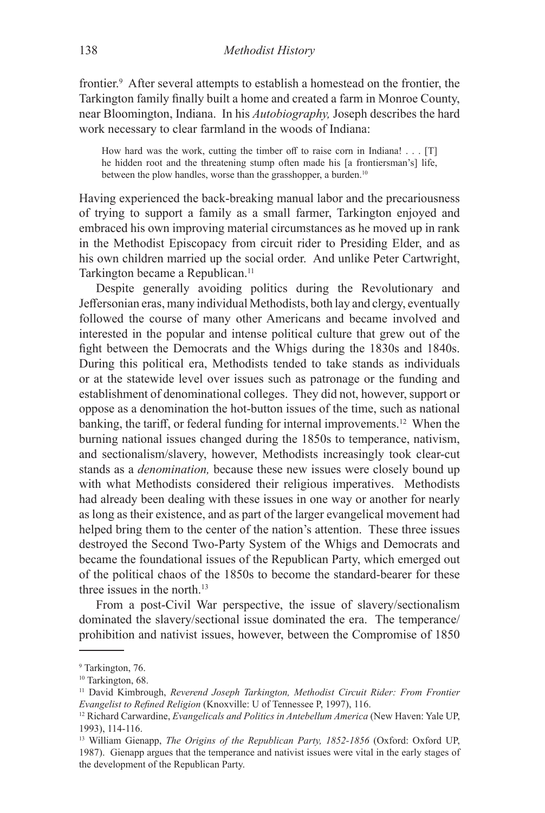frontier.<sup>9</sup> After several attempts to establish a homestead on the frontier, the Tarkington family finally built a home and created a farm in Monroe County, near Bloomington, Indiana. In his *Autobiography,* Joseph describes the hard work necessary to clear farmland in the woods of Indiana:

How hard was the work, cutting the timber off to raise corn in Indiana! . . . [T] he hidden root and the threatening stump often made his [a frontiersman's] life, between the plow handles, worse than the grasshopper, a burden.<sup>10</sup>

Having experienced the back-breaking manual labor and the precariousness of trying to support a family as a small farmer, Tarkington enjoyed and embraced his own improving material circumstances as he moved up in rank in the Methodist Episcopacy from circuit rider to Presiding Elder, and as his own children married up the social order. And unlike Peter Cartwright, Tarkington became a Republican.<sup>11</sup>

Despite generally avoiding politics during the Revolutionary and Jeffersonian eras, many individual Methodists, both lay and clergy, eventually followed the course of many other Americans and became involved and interested in the popular and intense political culture that grew out of the fight between the Democrats and the Whigs during the 1830s and 1840s. During this political era, Methodists tended to take stands as individuals or at the statewide level over issues such as patronage or the funding and establishment of denominational colleges. They did not, however, support or oppose as a denomination the hot-button issues of the time, such as national banking, the tariff, or federal funding for internal improvements.<sup>12</sup> When the burning national issues changed during the 1850s to temperance, nativism, and sectionalism/slavery, however, Methodists increasingly took clear-cut stands as a *denomination,* because these new issues were closely bound up with what Methodists considered their religious imperatives. Methodists had already been dealing with these issues in one way or another for nearly as long as their existence, and as part of the larger evangelical movement had helped bring them to the center of the nation's attention. These three issues destroyed the Second Two-Party System of the Whigs and Democrats and became the foundational issues of the Republican Party, which emerged out of the political chaos of the 1850s to become the standard-bearer for these three issues in the north.<sup>13</sup>

From a post-Civil War perspective, the issue of slavery/sectionalism dominated the slavery/sectional issue dominated the era. The temperance/ prohibition and nativist issues, however, between the Compromise of 1850

<sup>9</sup> Tarkington, 76.

<sup>&</sup>lt;sup>10</sup> Tarkington, 68.

<sup>11</sup> David Kimbrough, *Reverend Joseph Tarkington, Methodist Circuit Rider: From Frontier Evangelist to Refined Religion* (Knoxville: U of Tennessee P, 1997), 116.

<sup>&</sup>lt;sup>12</sup> Richard Carwardine, *Evangelicals and Politics in Antebellum America* (New Haven: Yale UP, 1993), 114-116.

<sup>13</sup> William Gienapp, *The Origins of the Republican Party, 1852-1856* (Oxford: Oxford UP, 1987). Gienapp argues that the temperance and nativist issues were vital in the early stages of the development of the Republican Party.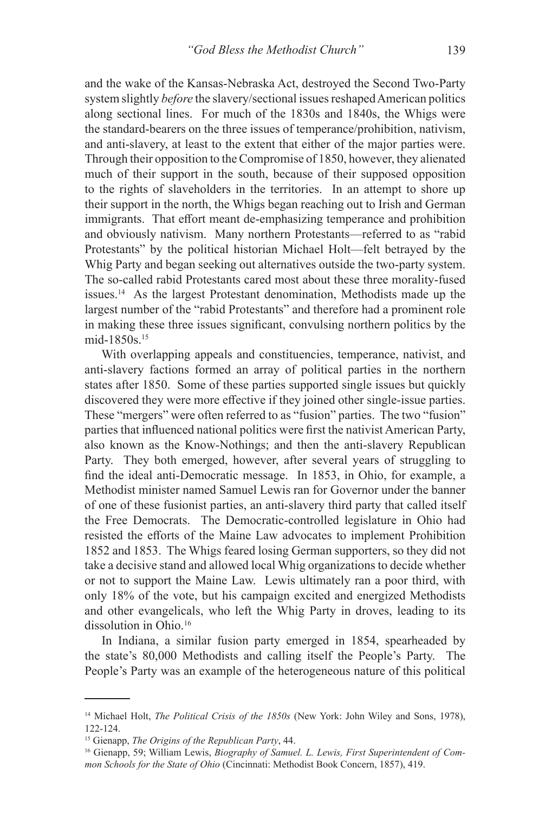and the wake of the Kansas-Nebraska Act, destroyed the Second Two-Party system slightly *before* the slavery/sectional issues reshaped American politics along sectional lines. For much of the 1830s and 1840s, the Whigs were the standard-bearers on the three issues of temperance/prohibition, nativism, and anti-slavery, at least to the extent that either of the major parties were. Through their opposition to the Compromise of 1850, however, they alienated much of their support in the south, because of their supposed opposition to the rights of slaveholders in the territories. In an attempt to shore up their support in the north, the Whigs began reaching out to Irish and German immigrants. That effort meant de-emphasizing temperance and prohibition and obviously nativism. Many northern Protestants—referred to as "rabid Protestants" by the political historian Michael Holt—felt betrayed by the Whig Party and began seeking out alternatives outside the two-party system. The so-called rabid Protestants cared most about these three morality-fused issues.<sup>14</sup> As the largest Protestant denomination, Methodists made up the largest number of the "rabid Protestants" and therefore had a prominent role in making these three issues significant, convulsing northern politics by the mid-1850s.15

With overlapping appeals and constituencies, temperance, nativist, and anti-slavery factions formed an array of political parties in the northern states after 1850. Some of these parties supported single issues but quickly discovered they were more effective if they joined other single-issue parties. These "mergers" were often referred to as "fusion" parties. The two "fusion" parties that influenced national politics were first the nativist American Party, also known as the Know-Nothings; and then the anti-slavery Republican Party. They both emerged, however, after several years of struggling to find the ideal anti-Democratic message. In 1853, in Ohio, for example, a Methodist minister named Samuel Lewis ran for Governor under the banner of one of these fusionist parties, an anti-slavery third party that called itself the Free Democrats. The Democratic-controlled legislature in Ohio had resisted the efforts of the Maine Law advocates to implement Prohibition 1852 and 1853. The Whigs feared losing German supporters, so they did not take a decisive stand and allowed local Whig organizations to decide whether or not to support the Maine Law. Lewis ultimately ran a poor third, with only 18% of the vote, but his campaign excited and energized Methodists and other evangelicals, who left the Whig Party in droves, leading to its dissolution in Ohio.<sup>16</sup>

In Indiana, a similar fusion party emerged in 1854, spearheaded by the state's 80,000 Methodists and calling itself the People's Party. The People's Party was an example of the heterogeneous nature of this political

<sup>14</sup> Michael Holt, *The Political Crisis of the 1850s* (New York: John Wiley and Sons, 1978), 122-124.

<sup>15</sup> Gienapp, *The Origins of the Republican Party*, 44.

<sup>16</sup> Gienapp, 59; William Lewis, *Biography of Samuel. L. Lewis, First Superintendent of Common Schools for the State of Ohio* (Cincinnati: Methodist Book Concern, 1857), 419.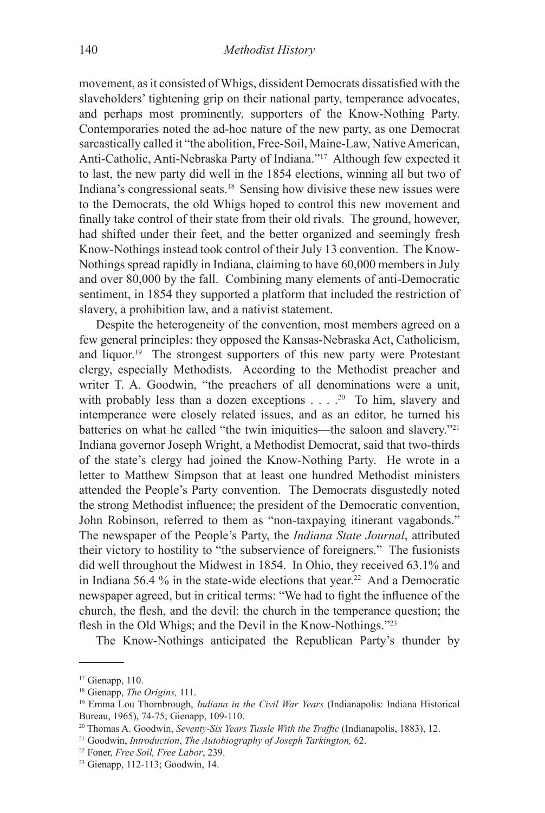movement, as it consisted of Whigs, dissident Democrats dissatisfied with the slaveholders' tightening grip on their national party, temperance advocates, and perhaps most prominently, supporters of the Know-Nothing Party. Contemporaries noted the ad-hoc nature of the new party, as one Democrat sarcastically called it "the abolition, Free-Soil, Maine-Law, Native American, Anti-Catholic, Anti-Nebraska Party of Indiana."<sup>17</sup> Although few expected it to last, the new party did well in the 1854 elections, winning all but two of Indiana's congressional seats.<sup>18</sup> Sensing how divisive these new issues were to the Democrats, the old Whigs hoped to control this new movement and finally take control of their state from their old rivals. The ground, however, had shifted under their feet, and the better organized and seemingly fresh Know-Nothings instead took control of their July 13 convention. The Know-Nothings spread rapidly in Indiana, claiming to have 60,000 members in July and over 80,000 by the fall. Combining many elements of anti-Democratic sentiment, in 1854 they supported a platform that included the restriction of slavery, a prohibition law, and a nativist statement.

Despite the heterogeneity of the convention, most members agreed on a few general principles: they opposed the Kansas-Nebraska Act, Catholicism, and liquor.19 The strongest supporters of this new party were Protestant clergy, especially Methodists. According to the Methodist preacher and writer T. A. Goodwin, "the preachers of all denominations were a unit, with probably less than a dozen exceptions  $\ldots$  .<sup>20</sup> To him, slavery and intemperance were closely related issues, and as an editor, he turned his batteries on what he called "the twin iniquities—the saloon and slavery."<sup>21</sup> Indiana governor Joseph Wright, a Methodist Democrat, said that two-thirds of the state's clergy had joined the Know-Nothing Party. He wrote in a letter to Matthew Simpson that at least one hundred Methodist ministers attended the People's Party convention. The Democrats disgustedly noted the strong Methodist influence; the president of the Democratic convention, John Robinson, referred to them as "non-taxpaying itinerant vagabonds." The newspaper of the People's Party, the *Indiana State Journal*, attributed their victory to hostility to "the subservience of foreigners." The fusionists did well throughout the Midwest in 1854. In Ohio, they received 63.1% and in Indiana 56.4  $\%$  in the state-wide elections that year.<sup>22</sup> And a Democratic newspaper agreed, but in critical terms: "We had to fight the influence of the church, the flesh, and the devil: the church in the temperance question; the flesh in the Old Whigs; and the Devil in the Know-Nothings."23

The Know-Nothings anticipated the Republican Party's thunder by

<sup>&</sup>lt;sup>17</sup> Gienapp, 110.

<sup>18</sup> Gienapp, *The Origins,* 111.

<sup>19</sup> Emma Lou Thornbrough, *Indiana in the Civil War Years* (Indianapolis: Indiana Historical Bureau, 1965), 74-75; Gienapp, 109-110.

<sup>20</sup> Thomas A. Goodwin, *Seventy-Six Years Tussle With the Traffic* (Indianapolis, 1883), 12.

<sup>21</sup> Goodwin, *Introduction*, *The Autobiography of Joseph Tarkington,* 62.

<sup>22</sup> Foner, *Free Soil, Free Labor*, 239.

<sup>23</sup> Gienapp, 112-113; Goodwin, 14.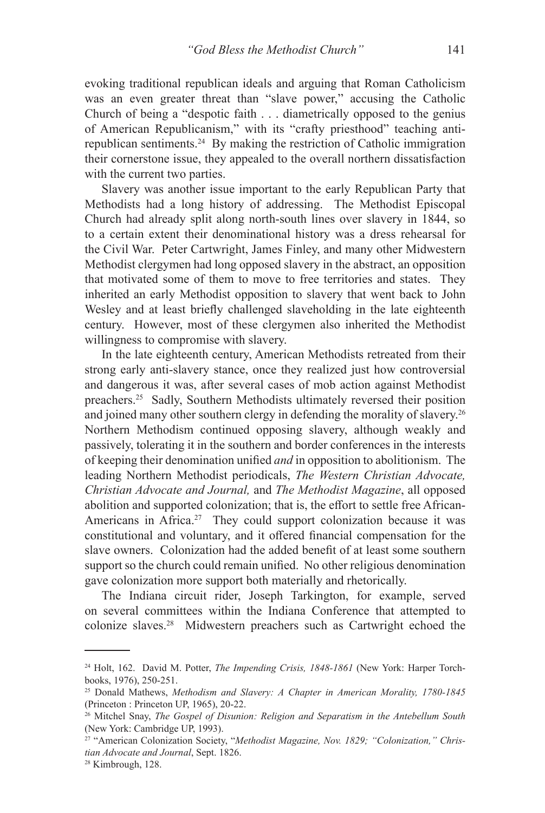evoking traditional republican ideals and arguing that Roman Catholicism was an even greater threat than "slave power," accusing the Catholic Church of being a "despotic faith . . . diametrically opposed to the genius of American Republicanism," with its "crafty priesthood" teaching antirepublican sentiments.<sup>24</sup> By making the restriction of Catholic immigration their cornerstone issue, they appealed to the overall northern dissatisfaction with the current two parties.

Slavery was another issue important to the early Republican Party that Methodists had a long history of addressing. The Methodist Episcopal Church had already split along north-south lines over slavery in 1844, so to a certain extent their denominational history was a dress rehearsal for the Civil War. Peter Cartwright, James Finley, and many other Midwestern Methodist clergymen had long opposed slavery in the abstract, an opposition that motivated some of them to move to free territories and states. They inherited an early Methodist opposition to slavery that went back to John Wesley and at least briefly challenged slaveholding in the late eighteenth century. However, most of these clergymen also inherited the Methodist willingness to compromise with slavery.

In the late eighteenth century, American Methodists retreated from their strong early anti-slavery stance, once they realized just how controversial and dangerous it was, after several cases of mob action against Methodist preachers.<sup>25</sup> Sadly, Southern Methodists ultimately reversed their position and joined many other southern clergy in defending the morality of slavery.<sup>26</sup> Northern Methodism continued opposing slavery, although weakly and passively, tolerating it in the southern and border conferences in the interests of keeping their denomination unified *and* in opposition to abolitionism. The leading Northern Methodist periodicals, *The Western Christian Advocate, Christian Advocate and Journal,* and *The Methodist Magazine*, all opposed abolition and supported colonization; that is, the effort to settle free African-Americans in Africa.<sup>27</sup> They could support colonization because it was constitutional and voluntary, and it offered financial compensation for the slave owners. Colonization had the added benefit of at least some southern support so the church could remain unified. No other religious denomination gave colonization more support both materially and rhetorically.

The Indiana circuit rider, Joseph Tarkington, for example, served on several committees within the Indiana Conference that attempted to colonize slaves.<sup>28</sup> Midwestern preachers such as Cartwright echoed the

<sup>24</sup> Holt, 162. David M. Potter, *The Impending Crisis, 1848-1861* (New York: Harper Torchbooks, 1976), 250-251.

<sup>25</sup> Donald Mathews, *Methodism and Slavery: A Chapter in American Morality, 1780-1845*  (Princeton : Princeton UP, 1965), 20-22.

<sup>26</sup> Mitchel Snay, *The Gospel of Disunion: Religion and Separatism in the Antebellum South*  (New York: Cambridge UP, 1993).

<sup>27</sup> "American Colonization Society, "*Methodist Magazine, Nov. 1829; "Colonization," Christian Advocate and Journal*, Sept. 1826. 28 Kimbrough, 128.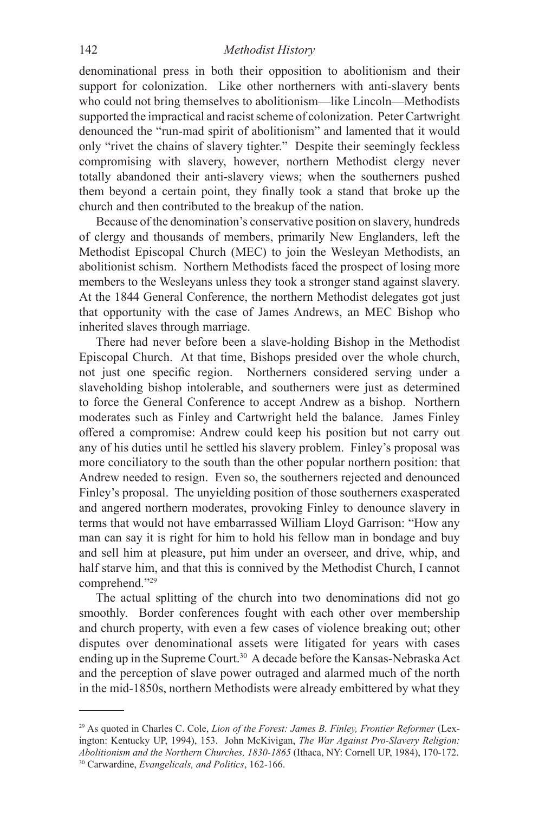denominational press in both their opposition to abolitionism and their support for colonization. Like other northerners with anti-slavery bents who could not bring themselves to abolitionism—like Lincoln—Methodists supported the impractical and racist scheme of colonization. Peter Cartwright denounced the "run-mad spirit of abolitionism" and lamented that it would only "rivet the chains of slavery tighter." Despite their seemingly feckless compromising with slavery, however, northern Methodist clergy never totally abandoned their anti-slavery views; when the southerners pushed them beyond a certain point, they finally took a stand that broke up the church and then contributed to the breakup of the nation.

Because of the denomination's conservative position on slavery, hundreds of clergy and thousands of members, primarily New Englanders, left the Methodist Episcopal Church (MEC) to join the Wesleyan Methodists, an abolitionist schism. Northern Methodists faced the prospect of losing more members to the Wesleyans unless they took a stronger stand against slavery. At the 1844 General Conference, the northern Methodist delegates got just that opportunity with the case of James Andrews, an MEC Bishop who inherited slaves through marriage.

There had never before been a slave-holding Bishop in the Methodist Episcopal Church. At that time, Bishops presided over the whole church, not just one specific region. Northerners considered serving under a slaveholding bishop intolerable, and southerners were just as determined to force the General Conference to accept Andrew as a bishop. Northern moderates such as Finley and Cartwright held the balance. James Finley offered a compromise: Andrew could keep his position but not carry out any of his duties until he settled his slavery problem. Finley's proposal was more conciliatory to the south than the other popular northern position: that Andrew needed to resign. Even so, the southerners rejected and denounced Finley's proposal. The unyielding position of those southerners exasperated and angered northern moderates, provoking Finley to denounce slavery in terms that would not have embarrassed William Lloyd Garrison: "How any man can say it is right for him to hold his fellow man in bondage and buy and sell him at pleasure, put him under an overseer, and drive, whip, and half starve him, and that this is connived by the Methodist Church, I cannot comprehend."<sup>29</sup>

The actual splitting of the church into two denominations did not go smoothly. Border conferences fought with each other over membership and church property, with even a few cases of violence breaking out; other disputes over denominational assets were litigated for years with cases ending up in the Supreme Court.<sup>30</sup> A decade before the Kansas-Nebraska Act and the perception of slave power outraged and alarmed much of the north in the mid-1850s, northern Methodists were already embittered by what they

<sup>29</sup> As quoted in Charles C. Cole, *Lion of the Forest: James B. Finley, Frontier Reformer* (Lexington: Kentucky UP, 1994), 153. John McKivigan, *The War Against Pro-Slavery Religion: Abolitionism and the Northern Churches, 1830-1865* (Ithaca, NY: Cornell UP, 1984), 170-172. 30 Carwardine, *Evangelicals, and Politics*, 162-166.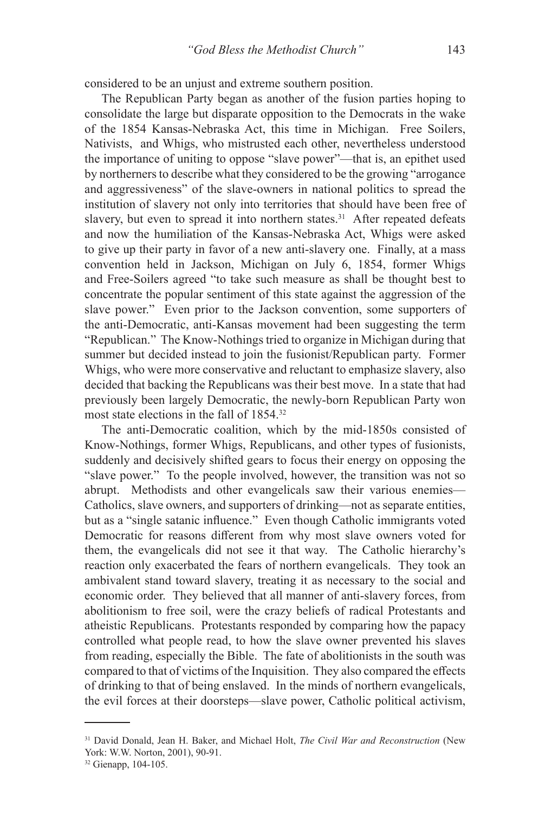considered to be an unjust and extreme southern position.

The Republican Party began as another of the fusion parties hoping to consolidate the large but disparate opposition to the Democrats in the wake of the 1854 Kansas-Nebraska Act, this time in Michigan. Free Soilers, Nativists, and Whigs, who mistrusted each other, nevertheless understood the importance of uniting to oppose "slave power"—that is, an epithet used by northerners to describe what they considered to be the growing "arrogance and aggressiveness" of the slave-owners in national politics to spread the institution of slavery not only into territories that should have been free of slavery, but even to spread it into northern states.<sup>31</sup> After repeated defeats and now the humiliation of the Kansas-Nebraska Act, Whigs were asked to give up their party in favor of a new anti-slavery one. Finally, at a mass convention held in Jackson, Michigan on July 6, 1854, former Whigs and Free-Soilers agreed "to take such measure as shall be thought best to concentrate the popular sentiment of this state against the aggression of the slave power." Even prior to the Jackson convention, some supporters of the anti-Democratic, anti-Kansas movement had been suggesting the term "Republican." The Know-Nothings tried to organize in Michigan during that summer but decided instead to join the fusionist/Republican party. Former Whigs, who were more conservative and reluctant to emphasize slavery, also decided that backing the Republicans was their best move. In a state that had previously been largely Democratic, the newly-born Republican Party won most state elections in the fall of 1854.32

The anti-Democratic coalition, which by the mid-1850s consisted of Know-Nothings, former Whigs, Republicans, and other types of fusionists, suddenly and decisively shifted gears to focus their energy on opposing the "slave power." To the people involved, however, the transition was not so abrupt. Methodists and other evangelicals saw their various enemies— Catholics, slave owners, and supporters of drinking—not as separate entities, but as a "single satanic influence." Even though Catholic immigrants voted Democratic for reasons different from why most slave owners voted for them, the evangelicals did not see it that way. The Catholic hierarchy's reaction only exacerbated the fears of northern evangelicals. They took an ambivalent stand toward slavery, treating it as necessary to the social and economic order. They believed that all manner of anti-slavery forces, from abolitionism to free soil, were the crazy beliefs of radical Protestants and atheistic Republicans. Protestants responded by comparing how the papacy controlled what people read, to how the slave owner prevented his slaves from reading, especially the Bible. The fate of abolitionists in the south was compared to that of victims of the Inquisition. They also compared the effects of drinking to that of being enslaved. In the minds of northern evangelicals, the evil forces at their doorsteps—slave power, Catholic political activism,

<sup>31</sup> David Donald, Jean H. Baker, and Michael Holt, *The Civil War and Reconstruction* (New York: W.W. Norton, 2001), 90-91.

<sup>32</sup> Gienapp, 104-105.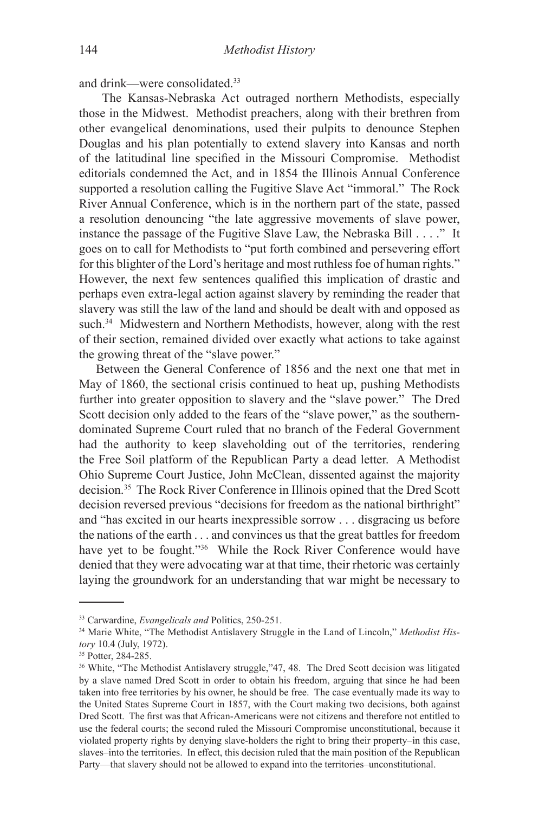and drink—were consolidated.<sup>33</sup>

 The Kansas-Nebraska Act outraged northern Methodists, especially those in the Midwest. Methodist preachers, along with their brethren from other evangelical denominations, used their pulpits to denounce Stephen Douglas and his plan potentially to extend slavery into Kansas and north of the latitudinal line specified in the Missouri Compromise. Methodist editorials condemned the Act, and in 1854 the Illinois Annual Conference supported a resolution calling the Fugitive Slave Act "immoral." The Rock River Annual Conference, which is in the northern part of the state, passed a resolution denouncing "the late aggressive movements of slave power, instance the passage of the Fugitive Slave Law, the Nebraska Bill . . . ." It goes on to call for Methodists to "put forth combined and persevering effort for this blighter of the Lord's heritage and most ruthless foe of human rights." However, the next few sentences qualified this implication of drastic and perhaps even extra-legal action against slavery by reminding the reader that slavery was still the law of the land and should be dealt with and opposed as such.<sup>34</sup> Midwestern and Northern Methodists, however, along with the rest of their section, remained divided over exactly what actions to take against the growing threat of the "slave power."

Between the General Conference of 1856 and the next one that met in May of 1860, the sectional crisis continued to heat up, pushing Methodists further into greater opposition to slavery and the "slave power." The Dred Scott decision only added to the fears of the "slave power," as the southerndominated Supreme Court ruled that no branch of the Federal Government had the authority to keep slaveholding out of the territories, rendering the Free Soil platform of the Republican Party a dead letter. A Methodist Ohio Supreme Court Justice, John McClean, dissented against the majority decision.<sup>35</sup> The Rock River Conference in Illinois opined that the Dred Scott decision reversed previous "decisions for freedom as the national birthright" and "has excited in our hearts inexpressible sorrow . . . disgracing us before the nations of the earth . . . and convinces us that the great battles for freedom have yet to be fought."<sup>36</sup> While the Rock River Conference would have denied that they were advocating war at that time, their rhetoric was certainly laying the groundwork for an understanding that war might be necessary to

<sup>33</sup> Carwardine, *Evangelicals and* Politics, 250-251.

<sup>34</sup> Marie White, "The Methodist Antislavery Struggle in the Land of Lincoln," *Methodist History* 10.4 (July, 1972).

<sup>&</sup>lt;sup>35</sup> Potter, 284-285.

<sup>&</sup>lt;sup>36</sup> White, "The Methodist Antislavery struggle,"47, 48. The Dred Scott decision was litigated by a slave named Dred Scott in order to obtain his freedom, arguing that since he had been taken into free territories by his owner, he should be free. The case eventually made its way to the United States Supreme Court in 1857, with the Court making two decisions, both against Dred Scott. The first was that African-Americans were not citizens and therefore not entitled to use the federal courts; the second ruled the Missouri Compromise unconstitutional, because it violated property rights by denying slave-holders the right to bring their property–in this case, slaves–into the territories. In effect, this decision ruled that the main position of the Republican Party—that slavery should not be allowed to expand into the territories–unconstitutional.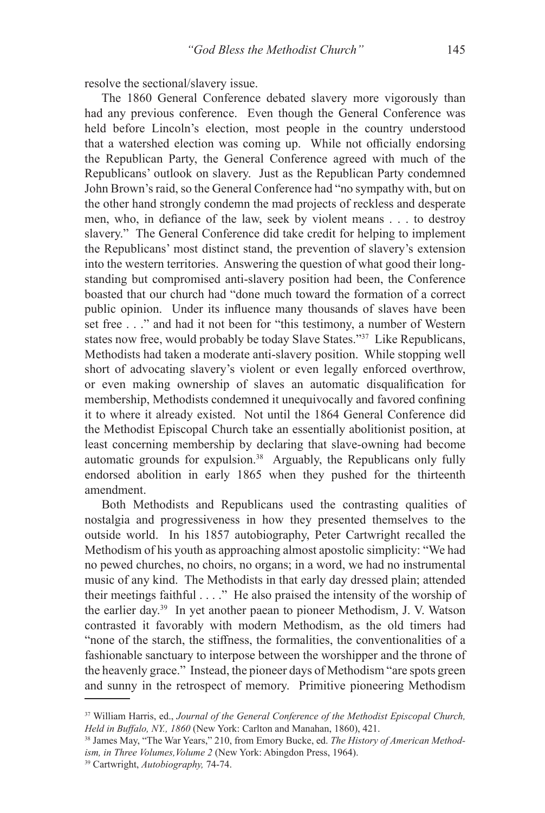resolve the sectional/slavery issue.

The 1860 General Conference debated slavery more vigorously than had any previous conference. Even though the General Conference was held before Lincoln's election, most people in the country understood that a watershed election was coming up. While not officially endorsing the Republican Party, the General Conference agreed with much of the Republicans' outlook on slavery. Just as the Republican Party condemned John Brown's raid, so the General Conference had "no sympathy with, but on the other hand strongly condemn the mad projects of reckless and desperate men, who, in defiance of the law, seek by violent means . . . to destroy slavery." The General Conference did take credit for helping to implement the Republicans' most distinct stand, the prevention of slavery's extension into the western territories. Answering the question of what good their longstanding but compromised anti-slavery position had been, the Conference boasted that our church had "done much toward the formation of a correct public opinion. Under its influence many thousands of slaves have been set free . . ." and had it not been for "this testimony, a number of Western states now free, would probably be today Slave States."<sup>37</sup> Like Republicans, Methodists had taken a moderate anti-slavery position. While stopping well short of advocating slavery's violent or even legally enforced overthrow, or even making ownership of slaves an automatic disqualification for membership, Methodists condemned it unequivocally and favored confining it to where it already existed. Not until the 1864 General Conference did the Methodist Episcopal Church take an essentially abolitionist position, at least concerning membership by declaring that slave-owning had become automatic grounds for expulsion.<sup>38</sup> Arguably, the Republicans only fully endorsed abolition in early 1865 when they pushed for the thirteenth amendment.

Both Methodists and Republicans used the contrasting qualities of nostalgia and progressiveness in how they presented themselves to the outside world. In his 1857 autobiography, Peter Cartwright recalled the Methodism of his youth as approaching almost apostolic simplicity: "We had no pewed churches, no choirs, no organs; in a word, we had no instrumental music of any kind. The Methodists in that early day dressed plain; attended their meetings faithful . . . ." He also praised the intensity of the worship of the earlier day.<sup>39</sup> In yet another paean to pioneer Methodism, J. V. Watson contrasted it favorably with modern Methodism, as the old timers had "none of the starch, the stiffness, the formalities, the conventionalities of a fashionable sanctuary to interpose between the worshipper and the throne of the heavenly grace." Instead, the pioneer days of Methodism "are spots green and sunny in the retrospect of memory. Primitive pioneering Methodism

<sup>37</sup> William Harris, ed., *Journal of the General Conference of the Methodist Episcopal Church, Held in Buffalo, NY., 1860* (New York: Carlton and Manahan, 1860), 421.

<sup>38</sup> James May, "The War Years," 210, from Emory Bucke, ed. *The History of American Methodism, in Three Volumes,Volume 2* (New York: Abingdon Press, 1964). 39 Cartwright, *Autobiography,* 74-74.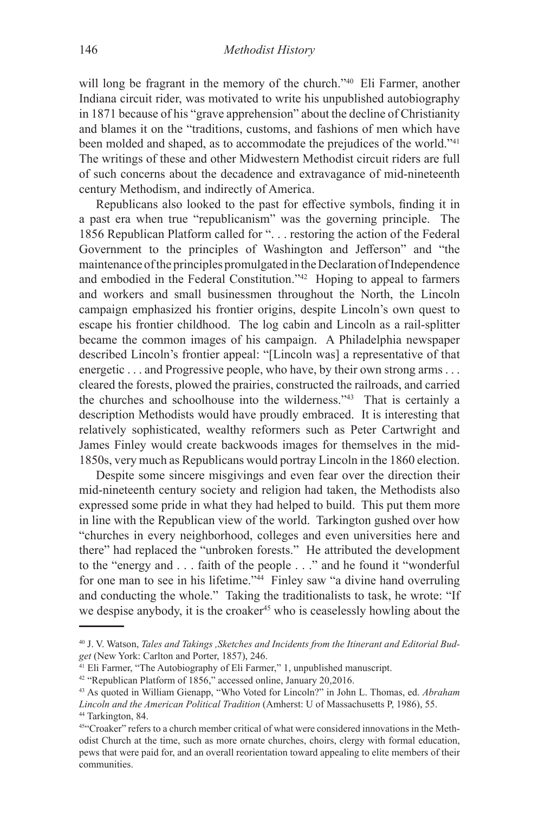will long be fragrant in the memory of the church."<sup>40</sup> Eli Farmer, another Indiana circuit rider, was motivated to write his unpublished autobiography in 1871 because of his "grave apprehension" about the decline of Christianity and blames it on the "traditions, customs, and fashions of men which have been molded and shaped, as to accommodate the prejudices of the world."<sup>41</sup> The writings of these and other Midwestern Methodist circuit riders are full of such concerns about the decadence and extravagance of mid-nineteenth century Methodism, and indirectly of America.

Republicans also looked to the past for effective symbols, finding it in a past era when true "republicanism" was the governing principle. The 1856 Republican Platform called for ". . . restoring the action of the Federal Government to the principles of Washington and Jefferson" and "the maintenance of the principles promulgated in the Declaration of Independence and embodied in the Federal Constitution."<sup>42</sup> Hoping to appeal to farmers and workers and small businessmen throughout the North, the Lincoln campaign emphasized his frontier origins, despite Lincoln's own quest to escape his frontier childhood. The log cabin and Lincoln as a rail-splitter became the common images of his campaign. A Philadelphia newspaper described Lincoln's frontier appeal: "[Lincoln was] a representative of that energetic . . . and Progressive people, who have, by their own strong arms . . . cleared the forests, plowed the prairies, constructed the railroads, and carried the churches and schoolhouse into the wilderness."<sup>43</sup> That is certainly a description Methodists would have proudly embraced. It is interesting that relatively sophisticated, wealthy reformers such as Peter Cartwright and James Finley would create backwoods images for themselves in the mid-1850s, very much as Republicans would portray Lincoln in the 1860 election.

Despite some sincere misgivings and even fear over the direction their mid-nineteenth century society and religion had taken, the Methodists also expressed some pride in what they had helped to build. This put them more in line with the Republican view of the world. Tarkington gushed over how "churches in every neighborhood, colleges and even universities here and there" had replaced the "unbroken forests." He attributed the development to the "energy and . . . faith of the people . . ." and he found it "wonderful for one man to see in his lifetime."<sup>44</sup> Finley saw "a divine hand overruling and conducting the whole." Taking the traditionalists to task, he wrote: "If we despise anybody, it is the croaker<sup>45</sup> who is ceaselessly howling about the

<sup>40</sup> J. V. Watson, *Tales and Takings ,Sketches and Incidents from the Itinerant and Editorial Budget* (New York: Carlton and Porter, 1857), 246.

<sup>&</sup>lt;sup>41</sup> Eli Farmer, "The Autobiography of Eli Farmer," 1, unpublished manuscript.

<sup>42 &</sup>quot;Republican Platform of 1856," accessed online, January 20,2016.

<sup>43</sup> As quoted in William Gienapp, "Who Voted for Lincoln?" in John L. Thomas, ed. *Abraham Lincoln and the American Political Tradition* (Amherst: U of Massachusetts P, 1986), 55. <sup>44</sup> Tarkington, 84.

<sup>45</sup>"Croaker" refers to a church member critical of what were considered innovations in the Methodist Church at the time, such as more ornate churches, choirs, clergy with formal education, pews that were paid for, and an overall reorientation toward appealing to elite members of their communities.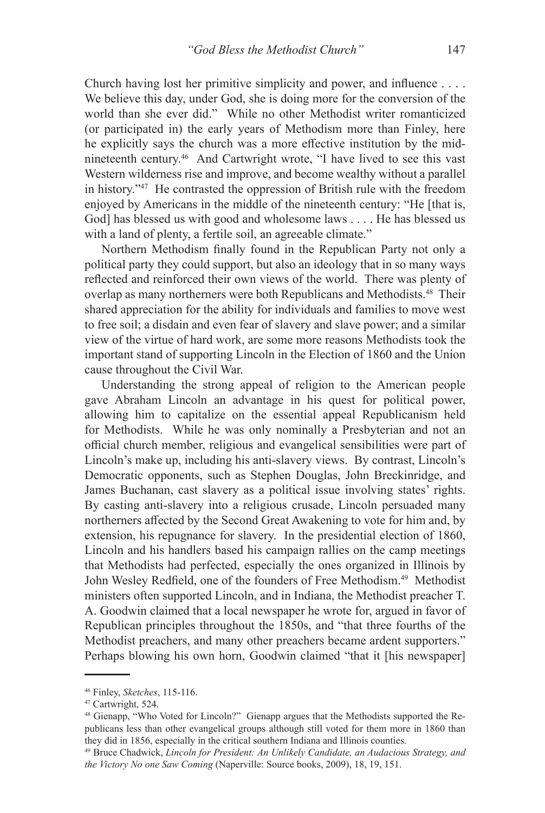Church having lost her primitive simplicity and power, and influence . . . . We believe this day, under God, she is doing more for the conversion of the world than she ever did." While no other Methodist writer romanticized (or participated in) the early years of Methodism more than Finley, here he explicitly says the church was a more effective institution by the midnineteenth century.<sup>46</sup> And Cartwright wrote, "I have lived to see this vast Western wilderness rise and improve, and become wealthy without a parallel in history."<sup>47</sup> He contrasted the oppression of British rule with the freedom enjoyed by Americans in the middle of the nineteenth century: "He [that is, God] has blessed us with good and wholesome laws . . . . He has blessed us with a land of plenty, a fertile soil, an agreeable climate."

Northern Methodism finally found in the Republican Party not only a political party they could support, but also an ideology that in so many ways reflected and reinforced their own views of the world. There was plenty of overlap as many northerners were both Republicans and Methodists.<sup>48</sup> Their shared appreciation for the ability for individuals and families to move west to free soil; a disdain and even fear of slavery and slave power; and a similar view of the virtue of hard work, are some more reasons Methodists took the important stand of supporting Lincoln in the Election of 1860 and the Union cause throughout the Civil War.

Understanding the strong appeal of religion to the American people gave Abraham Lincoln an advantage in his quest for political power, allowing him to capitalize on the essential appeal Republicanism held for Methodists. While he was only nominally a Presbyterian and not an official church member, religious and evangelical sensibilities were part of Lincoln's make up, including his anti-slavery views. By contrast, Lincoln's Democratic opponents, such as Stephen Douglas, John Breckinridge, and James Buchanan, cast slavery as a political issue involving states' rights. By casting anti-slavery into a religious crusade, Lincoln persuaded many northerners affected by the Second Great Awakening to vote for him and, by extension, his repugnance for slavery. In the presidential election of 1860, Lincoln and his handlers based his campaign rallies on the camp meetings that Methodists had perfected, especially the ones organized in Illinois by John Wesley Redfield, one of the founders of Free Methodism.49 Methodist ministers often supported Lincoln, and in Indiana, the Methodist preacher T. A. Goodwin claimed that a local newspaper he wrote for, argued in favor of Republican principles throughout the 1850s, and "that three fourths of the Methodist preachers, and many other preachers became ardent supporters." Perhaps blowing his own horn, Goodwin claimed "that it [his newspaper]

<sup>46</sup> Finley, *Sketches*, 115-116.

<sup>47</sup> Cartwright, 524.

<sup>&</sup>lt;sup>48</sup> Gienapp, "Who Voted for Lincoln?" Gienapp argues that the Methodists supported the Republicans less than other evangelical groups although still voted for them more in 1860 than they did in 1856, especially in the critical southern Indiana and Illinois counties.

<sup>49</sup> Bruce Chadwick, *Lincoln for President: An Unlikely Candidate, an Audacious Strategy, and the Victory No one Saw Coming* (Naperville: Source books, 2009), 18, 19, 151.